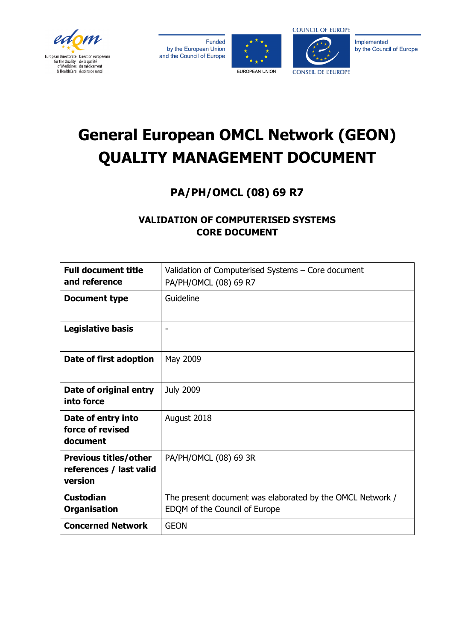







Implemented by the Council of Europe

# **General European OMCL Network (GEON) QUALITY MANAGEMENT DOCUMENT**

# **PA/PH/OMCL (08) 69 R7**

## **VALIDATION OF COMPUTERISED SYSTEMS CORE DOCUMENT**

| <b>Full document title</b><br>and reference                        | Validation of Computerised Systems - Core document<br>PA/PH/OMCL (08) 69 R7                |
|--------------------------------------------------------------------|--------------------------------------------------------------------------------------------|
| <b>Document type</b>                                               | Guideline                                                                                  |
| <b>Legislative basis</b>                                           |                                                                                            |
| Date of first adoption                                             | May 2009                                                                                   |
| Date of original entry<br>into force                               | <b>July 2009</b>                                                                           |
| Date of entry into<br>force of revised<br>document                 | August 2018                                                                                |
| <b>Previous titles/other</b><br>references / last valid<br>version | PA/PH/OMCL (08) 69 3R                                                                      |
| <b>Custodian</b><br><b>Organisation</b>                            | The present document was elaborated by the OMCL Network /<br>EDQM of the Council of Europe |
| <b>Concerned Network</b>                                           | <b>GEON</b>                                                                                |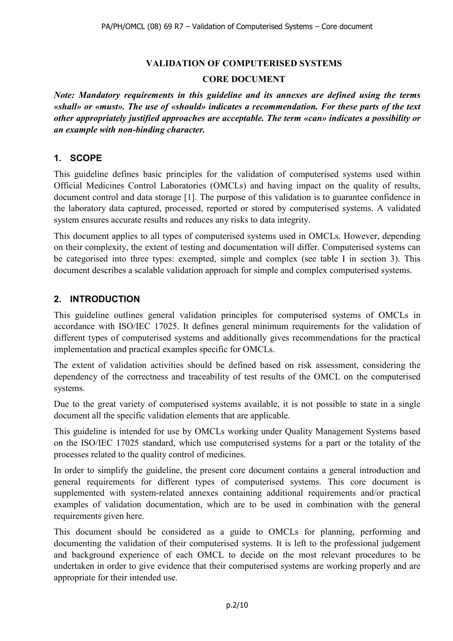#### **VALIDATION OF COMPUTERISED SYSTEMS**

#### **CORE DOCUMENT**

*Note: Mandatory requirements in this guideline and its annexes are defined using the terms «shall» or «must». The use of «should» indicates a recommendation. For these parts of the text other appropriately justified approaches are acceptable. The term «can» indicates a possibility or an example with non-binding character.*

#### **1. SCOPE**

This guideline defines basic principles for the validation of computerised systems used within Official Medicines Control Laboratories (OMCLs) and having impact on the quality of results, document control and data storage [1]. The purpose of this validation is to guarantee confidence in the laboratory data captured, processed, reported or stored by computerised systems. A validated system ensures accurate results and reduces any risks to data integrity.

This document applies to all types of computerised systems used in OMCLs. However, depending on their complexity, the extent of testing and documentation will differ. Computerised systems can be categorised into three types: exempted, simple and complex (see table I in section 3). This document describes a scalable validation approach for simple and complex computerised systems.

#### **2. INTRODUCTION**

This guideline outlines general validation principles for computerised systems of OMCLs in accordance with ISO/IEC 17025. It defines general minimum requirements for the validation of different types of computerised systems and additionally gives recommendations for the practical implementation and practical examples specific for OMCLs.

The extent of validation activities should be defined based on risk assessment, considering the dependency of the correctness and traceability of test results of the OMCL on the computerised systems.

Due to the great variety of computerised systems available, it is not possible to state in a single document all the specific validation elements that are applicable.

This guideline is intended for use by OMCLs working under Quality Management Systems based on the ISO/IEC 17025 standard, which use computerised systems for a part or the totality of the processes related to the quality control of medicines.

In order to simplify the guideline, the present core document contains a general introduction and general requirements for different types of computerised systems. This core document is supplemented with system-related annexes containing additional requirements and/or practical examples of validation documentation, which are to be used in combination with the general requirements given here.

This document should be considered as a guide to OMCLs for planning, performing and documenting the validation of their computerised systems. It is left to the professional judgement and background experience of each OMCL to decide on the most relevant procedures to be undertaken in order to give evidence that their computerised systems are working properly and are appropriate for their intended use.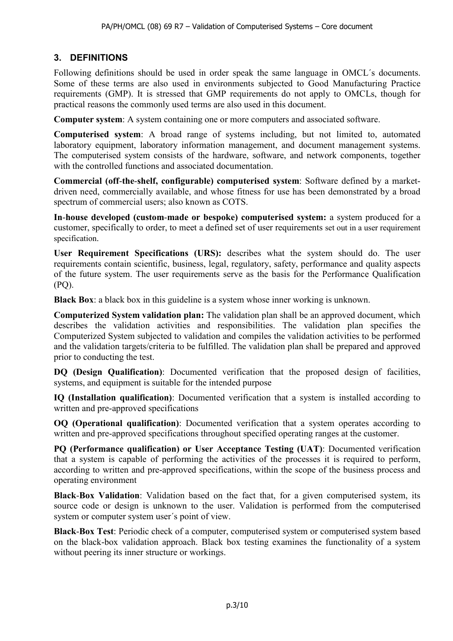### **3. DEFINITIONS**

Following definitions should be used in order speak the same language in OMCL´s documents. Some of these terms are also used in environments subjected to Good Manufacturing Practice requirements (GMP). It is stressed that GMP requirements do not apply to OMCLs, though for practical reasons the commonly used terms are also used in this document.

**Computer system**: A system containing one or more computers and associated software.

**Computerised system**: A broad range of systems including, but not limited to, automated laboratory equipment, laboratory information management, and document management systems. The computerised system consists of the hardware, software, and network components, together with the controlled functions and associated documentation.

**Commercial (off**-**the**-**shelf, configurable) computerised system**: Software defined by a marketdriven need, commercially available, and whose fitness for use has been demonstrated by a broad spectrum of commercial users; also known as COTS.

**In**-**house developed (custom**-**made or bespoke) computerised system:** a system produced for a customer, specifically to order, to meet a defined set of user requirements set out in a user requirement specification.

**User Requirement Specifications (URS):** describes what the system should do. The user requirements contain scientific, business, legal, regulatory, safety, performance and quality aspects of the future system. The user requirements serve as the basis for the Performance Qualification (PQ).

**Black Box**: a black box in this guideline is a system whose inner working is unknown.

**Computerized System validation plan:** The validation plan shall be an approved document, which describes the validation activities and responsibilities. The validation plan specifies the Computerized System subjected to validation and compiles the validation activities to be performed and the validation targets/criteria to be fulfilled. The validation plan shall be prepared and approved prior to conducting the test.

**DQ (Design Qualification)**: Documented verification that the proposed design of facilities, systems, and equipment is suitable for the intended purpose

**IQ (Installation qualification)**: Documented verification that a system is installed according to written and pre-approved specifications

**OQ (Operational qualification)**: Documented verification that a system operates according to written and pre-approved specifications throughout specified operating ranges at the customer.

**PQ (Performance qualification) or User Acceptance Testing (UAT)**: Documented verification that a system is capable of performing the activities of the processes it is required to perform, according to written and pre-approved specifications, within the scope of the business process and operating environment

**Black**-**Box Validation**: Validation based on the fact that, for a given computerised system, its source code or design is unknown to the user. Validation is performed from the computerised system or computer system user´s point of view.

**Black**-**Box Test**: Periodic check of a computer, computerised system or computerised system based on the black-box validation approach. Black box testing examines the functionality of a system without peering its inner structure or workings.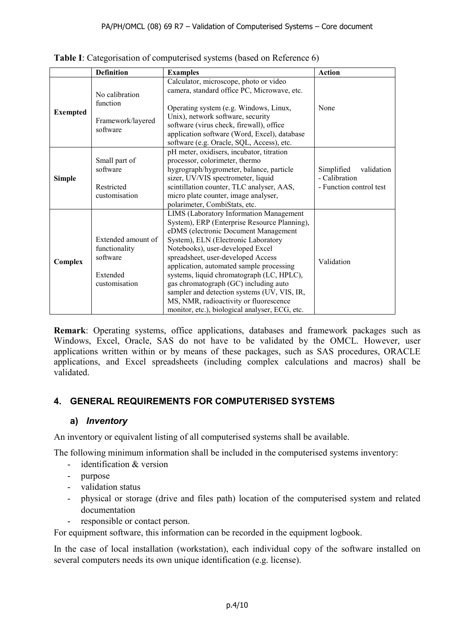|                 | <b>Definition</b>                                                            | <b>Examples</b>                                                                                                                                                                                                                                                                                                                                                                                                                                                                                                               | <b>Action</b>                                                        |
|-----------------|------------------------------------------------------------------------------|-------------------------------------------------------------------------------------------------------------------------------------------------------------------------------------------------------------------------------------------------------------------------------------------------------------------------------------------------------------------------------------------------------------------------------------------------------------------------------------------------------------------------------|----------------------------------------------------------------------|
| <b>Exempted</b> | No calibration<br>function<br>Framework/layered<br>software                  | Calculator, microscope, photo or video<br>camera, standard office PC, Microwave, etc.<br>Operating system (e.g. Windows, Linux,<br>Unix), network software, security<br>software (virus check, firewall), office<br>application software (Word, Excel), database<br>software (e.g. Oracle, SQL, Access), etc.                                                                                                                                                                                                                 | None                                                                 |
| <b>Simple</b>   | Small part of<br>software<br>Restricted<br>customisation                     | pH meter, oxidisers, incubator, titration<br>processor, colorimeter, thermo<br>hygrograph/hygrometer, balance, particle<br>sizer, UV/VIS spectrometer, liquid<br>scintillation counter, TLC analyser, AAS,<br>micro plate counter, image analyser,<br>polarimeter, CombiStats, etc.                                                                                                                                                                                                                                           | Simplified<br>validation<br>- Calibration<br>- Function control test |
| Complex         | Extended amount of<br>functionality<br>software<br>Extended<br>customisation | LIMS (Laboratory Information Management<br>System), ERP (Enterprise Resource Planning),<br>eDMS (electronic Document Management<br>System), ELN (Electronic Laboratory<br>Notebooks), user-developed Excel<br>spreadsheet, user-developed Access<br>application, automated sample processing<br>systems, liquid chromatograph (LC, HPLC),<br>gas chromatograph (GC) including auto<br>sampler and detection systems (UV, VIS, IR,<br>MS, NMR, radioactivity or fluorescence<br>monitor, etc.), biological analyser, ECG, etc. | Validation                                                           |

**Table I**: Categorisation of computerised systems (based on Reference 6)

**Remark**: Operating systems, office applications, databases and framework packages such as Windows, Excel, Oracle, SAS do not have to be validated by the OMCL. However, user applications written within or by means of these packages, such as SAS procedures, ORACLE applications, and Excel spreadsheets (including complex calculations and macros) shall be validated.

#### **4. GENERAL REQUIREMENTS FOR COMPUTERISED SYSTEMS**

#### **a)** *Inventory*

An inventory or equivalent listing of all computerised systems shall be available.

The following minimum information shall be included in the computerised systems inventory:

- identification & version
- purpose
- validation status
- physical or storage (drive and files path) location of the computerised system and related documentation
- responsible or contact person.

For equipment software, this information can be recorded in the equipment logbook.

In the case of local installation (workstation), each individual copy of the software installed on several computers needs its own unique identification (e.g. license).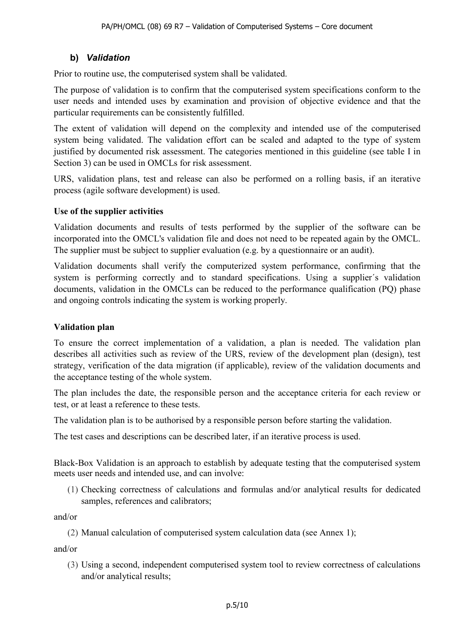#### **b)** *Validation*

Prior to routine use, the computerised system shall be validated.

The purpose of validation is to confirm that the computerised system specifications conform to the user needs and intended uses by examination and provision of objective evidence and that the particular requirements can be consistently fulfilled.

The extent of validation will depend on the complexity and intended use of the computerised system being validated. The validation effort can be scaled and adapted to the type of system justified by documented risk assessment. The categories mentioned in this guideline (see table I in Section 3) can be used in OMCLs for risk assessment.

URS, validation plans, test and release can also be performed on a rolling basis, if an iterative process (agile software development) is used.

#### **Use of the supplier activities**

Validation documents and results of tests performed by the supplier of the software can be incorporated into the OMCL's validation file and does not need to be repeated again by the OMCL. The supplier must be subject to supplier evaluation (e.g. by a questionnaire or an audit).

Validation documents shall verify the computerized system performance, confirming that the system is performing correctly and to standard specifications. Using a supplier´s validation documents, validation in the OMCLs can be reduced to the performance qualification (PQ) phase and ongoing controls indicating the system is working properly.

#### **Validation plan**

To ensure the correct implementation of a validation, a plan is needed. The validation plan describes all activities such as review of the URS, review of the development plan (design), test strategy, verification of the data migration (if applicable), review of the validation documents and the acceptance testing of the whole system.

The plan includes the date, the responsible person and the acceptance criteria for each review or test, or at least a reference to these tests.

The validation plan is to be authorised by a responsible person before starting the validation.

The test cases and descriptions can be described later, if an iterative process is used.

Black-Box Validation is an approach to establish by adequate testing that the computerised system meets user needs and intended use, and can involve:

(1) Checking correctness of calculations and formulas and/or analytical results for dedicated samples, references and calibrators;

and/or

(2) Manual calculation of computerised system calculation data (see Annex 1);

and/or

(3) Using a second, independent computerised system tool to review correctness of calculations and/or analytical results;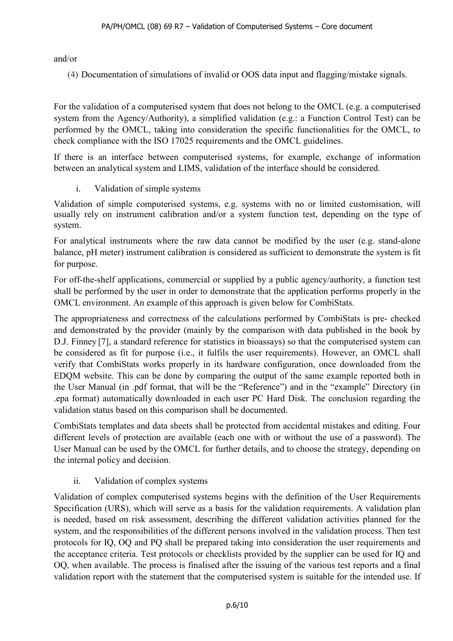and/or

(4) Documentation of simulations of invalid or OOS data input and flagging/mistake signals.

For the validation of a computerised system that does not belong to the OMCL (e.g. a computerised system from the Agency/Authority), a simplified validation (e.g.: a Function Control Test) can be performed by the OMCL, taking into consideration the specific functionalities for the OMCL, to check compliance with the ISO 17025 requirements and the OMCL guidelines.

If there is an interface between computerised systems, for example, exchange of information between an analytical system and LIMS, validation of the interface should be considered.

i. Validation of simple systems

Validation of simple computerised systems, e.g. systems with no or limited customisation, will usually rely on instrument calibration and/or a system function test, depending on the type of system.

For analytical instruments where the raw data cannot be modified by the user (e.g. stand-alone balance, pH meter) instrument calibration is considered as sufficient to demonstrate the system is fit for purpose.

For off-the-shelf applications, commercial or supplied by a public agency/authority, a function test shall be performed by the user in order to demonstrate that the application performs properly in the OMCL environment. An example of this approach is given below for CombiStats.

The appropriateness and correctness of the calculations performed by CombiStats is pre- checked and demonstrated by the provider (mainly by the comparison with data published in the book by D.J. Finney [7], a standard reference for statistics in bioassays) so that the computerised system can be considered as fit for purpose (i.e., it fulfils the user requirements). However, an OMCL shall verify that CombiStats works properly in its hardware configuration, once downloaded from the EDQM website. This can be done by comparing the output of the same example reported both in the User Manual (in .pdf format, that will be the "Reference") and in the "example" Directory (in .epa format) automatically downloaded in each user PC Hard Disk. The conclusion regarding the validation status based on this comparison shall be documented.

CombiStats templates and data sheets shall be protected from accidental mistakes and editing. Four different levels of protection are available (each one with or without the use of a password). The User Manual can be used by the OMCL for further details, and to choose the strategy, depending on the internal policy and decision.

#### ii. Validation of complex systems

Validation of complex computerised systems begins with the definition of the User Requirements Specification (URS), which will serve as a basis for the validation requirements. A validation plan is needed, based on risk assessment, describing the different validation activities planned for the system, and the responsibilities of the different persons involved in the validation process. Then test protocols for IQ, OQ and PQ shall be prepared taking into consideration the user requirements and the acceptance criteria. Test protocols or checklists provided by the supplier can be used for IQ and OQ, when available. The process is finalised after the issuing of the various test reports and a final validation report with the statement that the computerised system is suitable for the intended use. If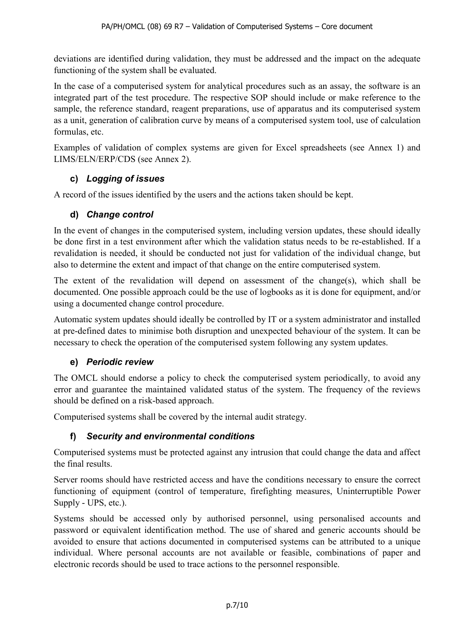deviations are identified during validation, they must be addressed and the impact on the adequate functioning of the system shall be evaluated.

In the case of a computerised system for analytical procedures such as an assay, the software is an integrated part of the test procedure. The respective SOP should include or make reference to the sample, the reference standard, reagent preparations, use of apparatus and its computerised system as a unit, generation of calibration curve by means of a computerised system tool, use of calculation formulas, etc.

Examples of validation of complex systems are given for Excel spreadsheets (see Annex 1) and LIMS/ELN/ERP/CDS (see Annex 2).

#### **c)** *Logging of issues*

A record of the issues identified by the users and the actions taken should be kept.

#### **d)** *Change control*

In the event of changes in the computerised system, including version updates, these should ideally be done first in a test environment after which the validation status needs to be re-established. If a revalidation is needed, it should be conducted not just for validation of the individual change, but also to determine the extent and impact of that change on the entire computerised system.

The extent of the revalidation will depend on assessment of the change(s), which shall be documented. One possible approach could be the use of logbooks as it is done for equipment, and/or using a documented change control procedure.

Automatic system updates should ideally be controlled by IT or a system administrator and installed at pre-defined dates to minimise both disruption and unexpected behaviour of the system. It can be necessary to check the operation of the computerised system following any system updates.

#### **e)** *Periodic review*

The OMCL should endorse a policy to check the computerised system periodically, to avoid any error and guarantee the maintained validated status of the system. The frequency of the reviews should be defined on a risk-based approach.

Computerised systems shall be covered by the internal audit strategy.

#### **f)** *Security and environmental conditions*

Computerised systems must be protected against any intrusion that could change the data and affect the final results.

Server rooms should have restricted access and have the conditions necessary to ensure the correct functioning of equipment (control of temperature, firefighting measures, Uninterruptible Power Supply - UPS, etc.).

Systems should be accessed only by authorised personnel, using personalised accounts and password or equivalent identification method. The use of shared and generic accounts should be avoided to ensure that actions documented in computerised systems can be attributed to a unique individual. Where personal accounts are not available or feasible, combinations of paper and electronic records should be used to trace actions to the personnel responsible.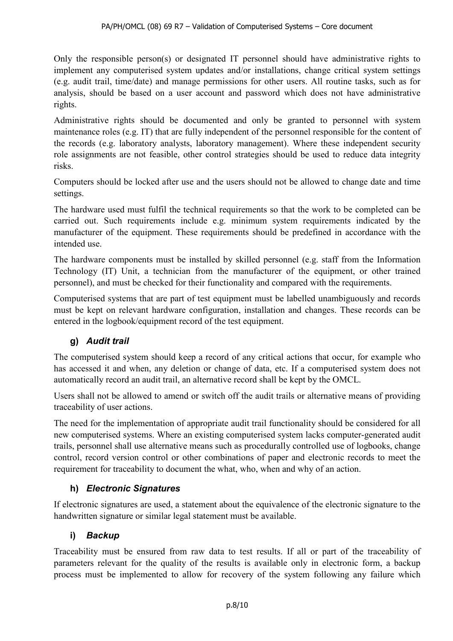Only the responsible person(s) or designated IT personnel should have administrative rights to implement any computerised system updates and/or installations, change critical system settings (e.g. audit trail, time/date) and manage permissions for other users. All routine tasks, such as for analysis, should be based on a user account and password which does not have administrative rights.

Administrative rights should be documented and only be granted to personnel with system maintenance roles (e.g. IT) that are fully independent of the personnel responsible for the content of the records (e.g. laboratory analysts, laboratory management). Where these independent security role assignments are not feasible, other control strategies should be used to reduce data integrity risks.

Computers should be locked after use and the users should not be allowed to change date and time settings.

The hardware used must fulfil the technical requirements so that the work to be completed can be carried out. Such requirements include e.g. minimum system requirements indicated by the manufacturer of the equipment. These requirements should be predefined in accordance with the intended use.

The hardware components must be installed by skilled personnel (e.g. staff from the Information Technology (IT) Unit, a technician from the manufacturer of the equipment, or other trained personnel), and must be checked for their functionality and compared with the requirements.

Computerised systems that are part of test equipment must be labelled unambiguously and records must be kept on relevant hardware configuration, installation and changes. These records can be entered in the logbook/equipment record of the test equipment.

#### **g)** *Audit trail*

The computerised system should keep a record of any critical actions that occur, for example who has accessed it and when, any deletion or change of data, etc. If a computerised system does not automatically record an audit trail, an alternative record shall be kept by the OMCL.

Users shall not be allowed to amend or switch off the audit trails or alternative means of providing traceability of user actions.

The need for the implementation of appropriate audit trail functionality should be considered for all new computerised systems. Where an existing computerised system lacks computer-generated audit trails, personnel shall use alternative means such as procedurally controlled use of logbooks, change control, record version control or other combinations of paper and electronic records to meet the requirement for traceability to document the what, who, when and why of an action.

#### **h)** *Electronic Signatures*

If electronic signatures are used, a statement about the equivalence of the electronic signature to the handwritten signature or similar legal statement must be available.

#### **i)** *Backup*

Traceability must be ensured from raw data to test results. If all or part of the traceability of parameters relevant for the quality of the results is available only in electronic form, a backup process must be implemented to allow for recovery of the system following any failure which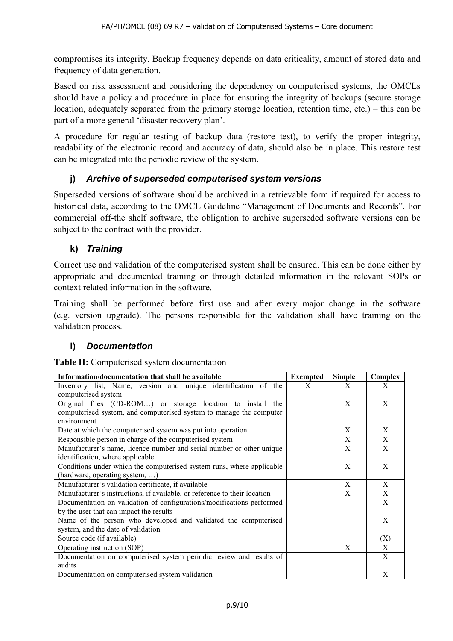compromises its integrity. Backup frequency depends on data criticality, amount of stored data and frequency of data generation.

Based on risk assessment and considering the dependency on computerised systems, the OMCLs should have a policy and procedure in place for ensuring the integrity of backups (secure storage location, adequately separated from the primary storage location, retention time, etc.) – this can be part of a more general 'disaster recovery plan'.

A procedure for regular testing of backup data (restore test), to verify the proper integrity, readability of the electronic record and accuracy of data, should also be in place. This restore test can be integrated into the periodic review of the system.

#### **j)** *Archive of superseded computerised system versions*

Superseded versions of software should be archived in a retrievable form if required for access to historical data, according to the OMCL Guideline "Management of Documents and Records". For commercial off-the shelf software, the obligation to archive superseded software versions can be subject to the contract with the provider.

#### **k)** *Training*

Correct use and validation of the computerised system shall be ensured. This can be done either by appropriate and documented training or through detailed information in the relevant SOPs or context related information in the software.

Training shall be performed before first use and after every major change in the software (e.g. version upgrade). The persons responsible for the validation shall have training on the validation process.

#### **l)** *Documentation*

**Table II:** Computerised system documentation

| Information/documentation that shall be available                         | <b>Exempted</b> | <b>Simple</b> | Complex |
|---------------------------------------------------------------------------|-----------------|---------------|---------|
| Inventory list, Name, version and unique identification of the            | X               | X             | X       |
| computerised system                                                       |                 |               |         |
| Original files (CD-ROM) or storage location to install the                |                 | X             | X       |
| computerised system, and computerised system to manage the computer       |                 |               |         |
| environment                                                               |                 |               |         |
| Date at which the computerised system was put into operation              |                 | X             | X       |
| Responsible person in charge of the computerised system                   |                 | X             | X       |
| Manufacturer's name, licence number and serial number or other unique     |                 | X             | X       |
| identification, where applicable                                          |                 |               |         |
| Conditions under which the computerised system runs, where applicable     |                 | X             | X       |
| (hardware, operating system, )                                            |                 |               |         |
| Manufacturer's validation certificate, if available                       |                 | X             | X       |
| Manufacturer's instructions, if available, or reference to their location |                 | X             | X       |
| Documentation on validation of configurations/modifications performed     |                 |               | X       |
| by the user that can impact the results                                   |                 |               |         |
| Name of the person who developed and validated the computerised           |                 |               | X       |
| system, and the date of validation                                        |                 |               |         |
| Source code (if available)                                                |                 |               | (X)     |
| Operating instruction (SOP)                                               |                 | X             | X       |
| Documentation on computerised system periodic review and results of       |                 |               | X       |
| audits                                                                    |                 |               |         |
| Documentation on computerised system validation                           |                 |               | X       |